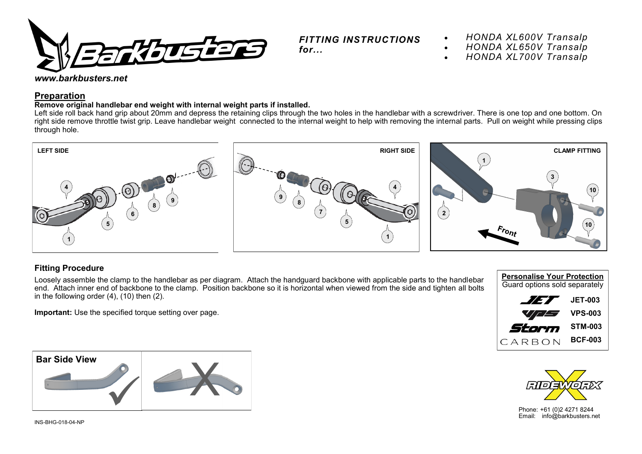

*FITTING INSTRUCTIONS* 

• *HONDA XL600V Transalp*

- *HONDA XL650V Transalp*
- *HONDA XL700V Transalp*

## *www.barkbusters.net*

## **Preparation**

## **Remove original handlebar end weight with internal weight parts if installed.**

Left side roll back hand grip about 20mm and depress the retaining clips through the two holes in the handlebar with a screwdriver. There is one top and one bottom. On right side remove throttle twist grip. Leave handlebar weight connected to the internal weight to help with removing the internal parts. Pull on weight while pressing clips through hole.

*for...*



# **Fitting Procedure**

Loosely assemble the clamp to the handlebar as per diagram. Attach the handguard backbone with applicable parts to the handlebar end. Attach inner end of backbone to the clamp. Position backbone so it is horizontal when viewed from the side and tighten all bolts in the following order (4), (10) then (2).

**Important:** Use the specified torque setting over page.





Phone: +61 (0)2 4271 8244 Email: info@barkbusters.net



INS-BHG-018-04-NP